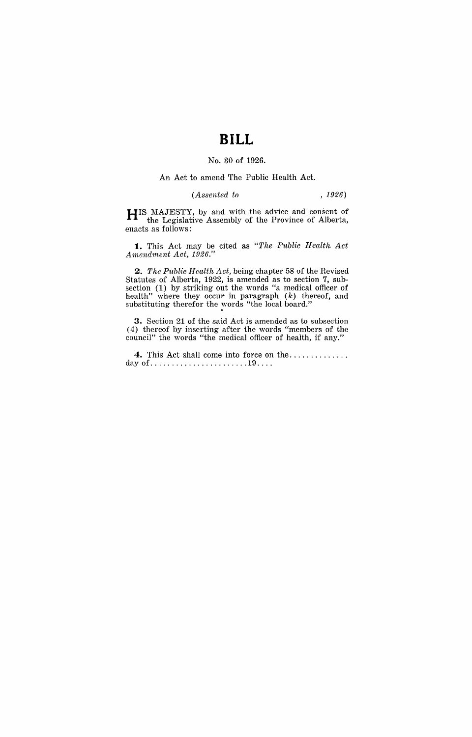# **BILL**

#### No. 30 of 1926.

#### An Act to amend The Public Health Act.

### *(Assented to* , 1926)

**HIS** MAJESTY, by and with the advice and consent of the Legislative Assembly of the Province of Alberta, enacts as follows:

**1.** This Act may be cited as *"The Public Health Act Amendment Act, 1926."* 

*2. The Public Health Act,* being chapter 58 of the Hevised Statutes of Alberta, 1922, is amended as to section 7, subsection (1) by striking out the words "a medical officer of health" where they occur in paragraph  $(k)$  thereof, and substituting therefor the words "the local board."

**3.** Section 21 of the said Act is amended as to subsection (4) thereof by inserting after the words "members of the council" the words "the medical officer of health, if any."

**4.** This Act shall come into force on the ............. . day of ....................... 19 ... .